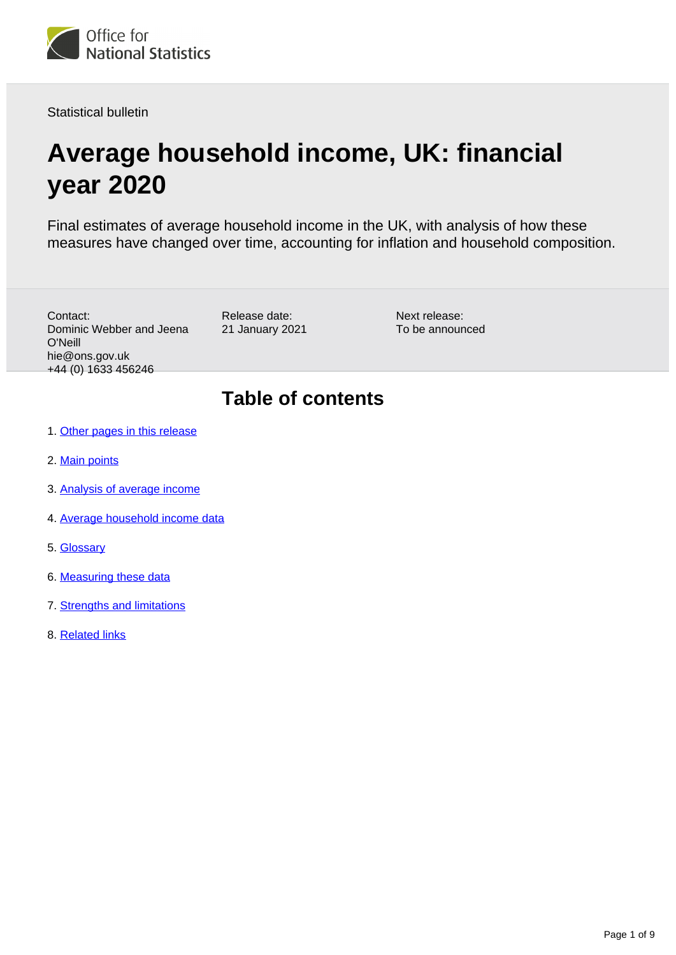

Statistical bulletin

# **Average household income, UK: financial year 2020**

Final estimates of average household income in the UK, with analysis of how these measures have changed over time, accounting for inflation and household composition.

Contact: Dominic Webber and Jeena O'Neill hie@ons.gov.uk +44 (0) 1633 456246

Release date: 21 January 2021 Next release: To be announced

## **Table of contents**

- 1. [Other pages in this release](#page-1-0)
- 2. [Main points](#page-1-1)
- 3. [Analysis of average income](#page-1-2)
- 4. [Average household income data](#page-5-0)
- 5. [Glossary](#page-5-1)
- 6. [Measuring these data](#page-6-0)
- 7. [Strengths and limitations](#page-7-0)
- 8. [Related links](#page-8-0)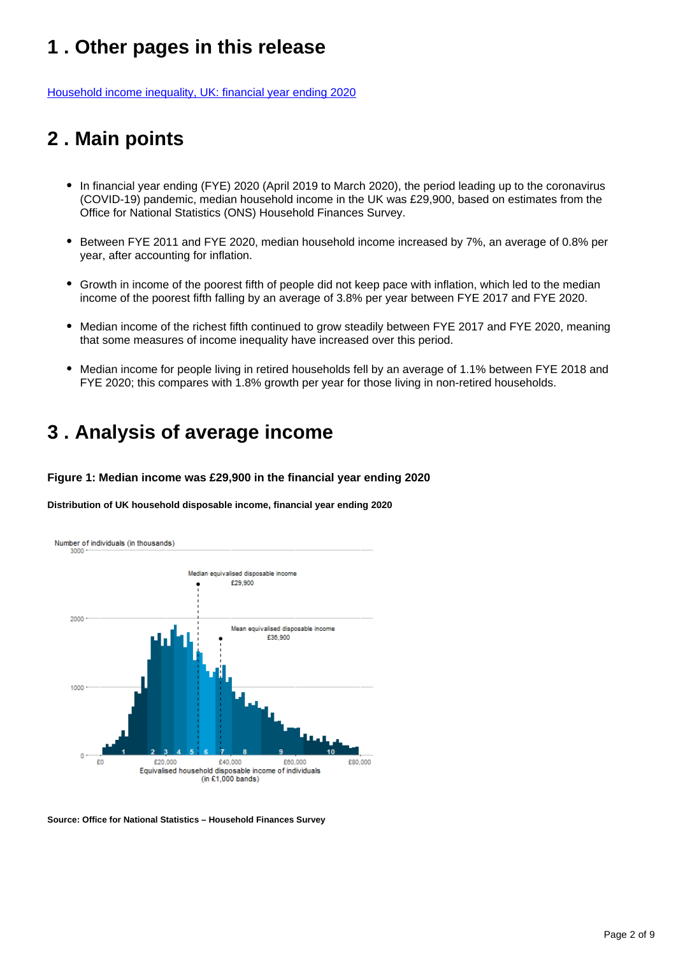## <span id="page-1-0"></span>**1 . Other pages in this release**

[Household income inequality, UK: financial year ending 2020](https://www.ons.gov.uk/peoplepopulationandcommunity/personalandhouseholdfinances/incomeandwealth/bulletins/householdincomeinequalityfinancial/financialyearending2020)

## <span id="page-1-1"></span>**2 . Main points**

- In financial year ending (FYE) 2020 (April 2019 to March 2020), the period leading up to the coronavirus (COVID-19) pandemic, median household income in the UK was £29,900, based on estimates from the Office for National Statistics (ONS) Household Finances Survey.
- Between FYE 2011 and FYE 2020, median household income increased by 7%, an average of 0.8% per year, after accounting for inflation.
- Growth in income of the poorest fifth of people did not keep pace with inflation, which led to the median income of the poorest fifth falling by an average of 3.8% per year between FYE 2017 and FYE 2020.
- Median income of the richest fifth continued to grow steadily between FYE 2017 and FYE 2020, meaning that some measures of income inequality have increased over this period.
- Median income for people living in retired households fell by an average of 1.1% between FYE 2018 and FYE 2020; this compares with 1.8% growth per year for those living in non-retired households.

### <span id="page-1-2"></span>**3 . Analysis of average income**

#### **Figure 1: Median income was £29,900 in the financial year ending 2020**

**Distribution of UK household disposable income, financial year ending 2020**



**Source: Office for National Statistics – Household Finances Survey**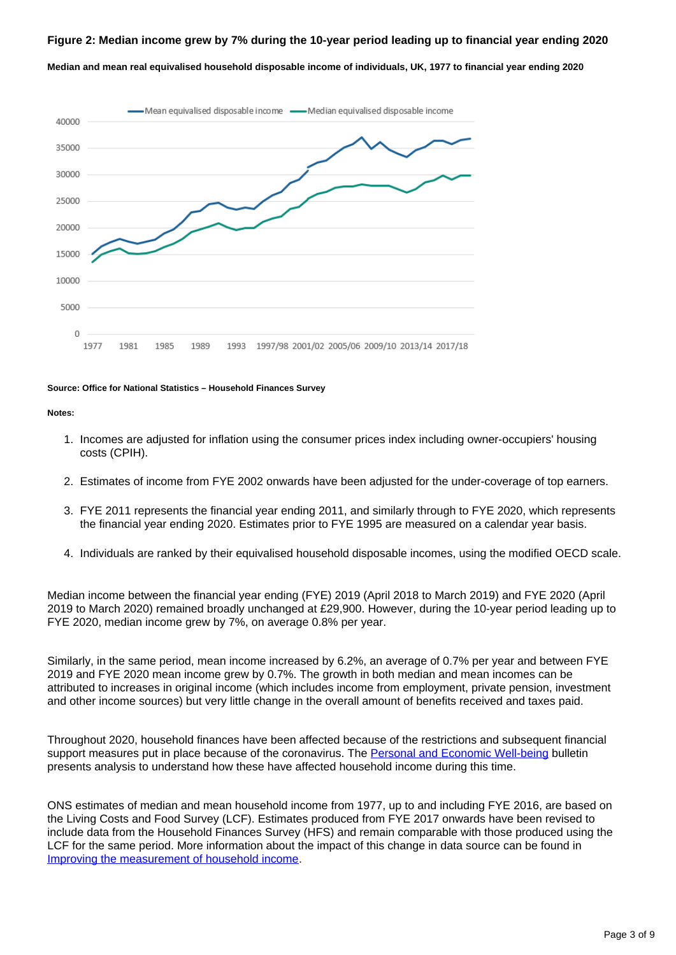#### **Figure 2: Median income grew by 7% during the 10-year period leading up to financial year ending 2020**

**Median and mean real equivalised household disposable income of individuals, UK, 1977 to financial year ending 2020**



#### **Source: Office for National Statistics – Household Finances Survey**

#### **Notes:**

- 1. Incomes are adjusted for inflation using the consumer prices index including owner-occupiers' housing costs (CPIH).
- 2. Estimates of income from FYE 2002 onwards have been adjusted for the under-coverage of top earners.
- 3. FYE 2011 represents the financial year ending 2011, and similarly through to FYE 2020, which represents the financial year ending 2020. Estimates prior to FYE 1995 are measured on a calendar year basis.
- 4. Individuals are ranked by their equivalised household disposable incomes, using the modified OECD scale.

Median income between the financial year ending (FYE) 2019 (April 2018 to March 2019) and FYE 2020 (April 2019 to March 2020) remained broadly unchanged at £29,900. However, during the 10-year period leading up to FYE 2020, median income grew by 7%, on average 0.8% per year.

Similarly, in the same period, mean income increased by 6.2%, an average of 0.7% per year and between FYE 2019 and FYE 2020 mean income grew by 0.7%. The growth in both median and mean incomes can be attributed to increases in original income (which includes income from employment, private pension, investment and other income sources) but very little change in the overall amount of benefits received and taxes paid.

Throughout 2020, household finances have been affected because of the restrictions and subsequent financial support measures put in place because of the coronavirus. The [Personal and Economic Well-being](https://www.ons.gov.uk/peoplepopulationandcommunity/wellbeing/bulletins/personalandeconomicwellbeingintheuk/january2021) bulletin presents analysis to understand how these have affected household income during this time.

ONS estimates of median and mean household income from 1977, up to and including FYE 2016, are based on the Living Costs and Food Survey (LCF). Estimates produced from FYE 2017 onwards have been revised to include data from the Household Finances Survey (HFS) and remain comparable with those produced using the LCF for the same period. More information about the impact of this change in data source can be found in [Improving the measurement of household income](https://www.ons.gov.uk/peoplepopulationandcommunity/personalandhouseholdfinances/incomeandwealth/methodologies/improvingthemeasurementofhouseholdincome).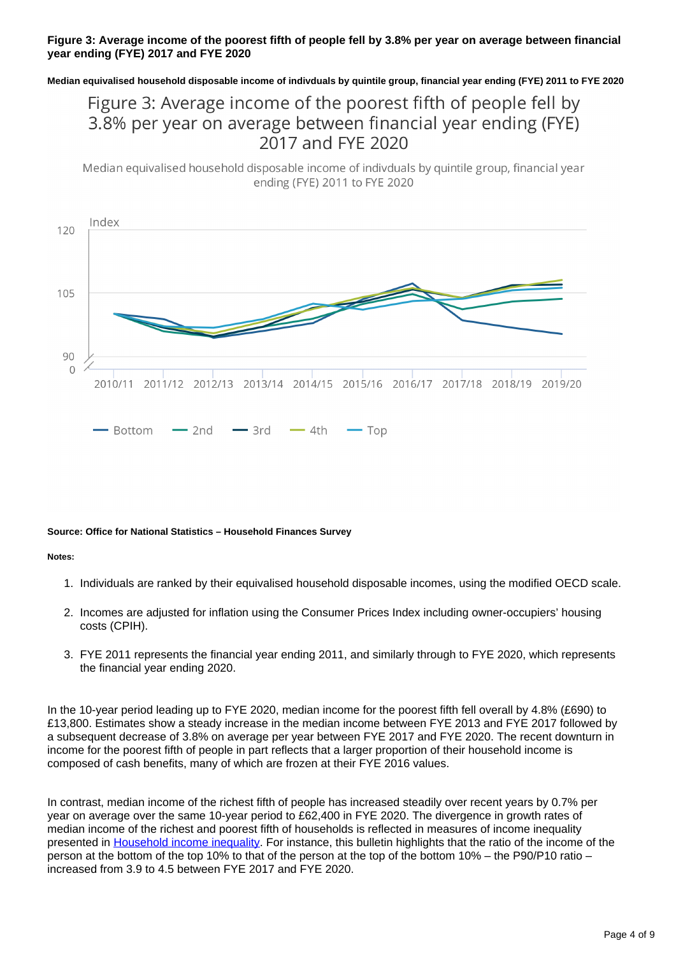#### **Figure 3: Average income of the poorest fifth of people fell by 3.8% per year on average between financial year ending (FYE) 2017 and FYE 2020**

**Median equivalised household disposable income of indivduals by quintile group, financial year ending (FYE) 2011 to FYE 2020**

### Figure 3: Average income of the poorest fifth of people fell by 3.8% per year on average between financial year ending (FYE) 2017 and FYE 2020

Median equivalised household disposable income of indivduals by quintile group, financial year ending (FYE) 2011 to FYE 2020



#### **Source: Office for National Statistics – Household Finances Survey**

#### **Notes:**

- 1. Individuals are ranked by their equivalised household disposable incomes, using the modified OECD scale.
- 2. Incomes are adjusted for inflation using the Consumer Prices Index including owner-occupiers' housing costs (CPIH).
- 3. FYE 2011 represents the financial year ending 2011, and similarly through to FYE 2020, which represents the financial year ending 2020.

In the 10-year period leading up to FYE 2020, median income for the poorest fifth fell overall by 4.8% (£690) to £13,800. Estimates show a steady increase in the median income between FYE 2013 and FYE 2017 followed by a subsequent decrease of 3.8% on average per year between FYE 2017 and FYE 2020. The recent downturn in income for the poorest fifth of people in part reflects that a larger proportion of their household income is composed of cash benefits, many of which are frozen at their FYE 2016 values.

In contrast, median income of the richest fifth of people has increased steadily over recent years by 0.7% per year on average over the same 10-year period to £62,400 in FYE 2020. The divergence in growth rates of median income of the richest and poorest fifth of households is reflected in measures of income inequality presented in [Household income inequality.](https://www.ons.gov.uk/peoplepopulationandcommunity/personalandhouseholdfinances/incomeandwealth/bulletins/householdincomeinequalityfinancial/financialyearending2020) For instance, this bulletin highlights that the ratio of the income of the person at the bottom of the top 10% to that of the person at the top of the bottom 10% – the P90/P10 ratio – increased from 3.9 to 4.5 between FYE 2017 and FYE 2020.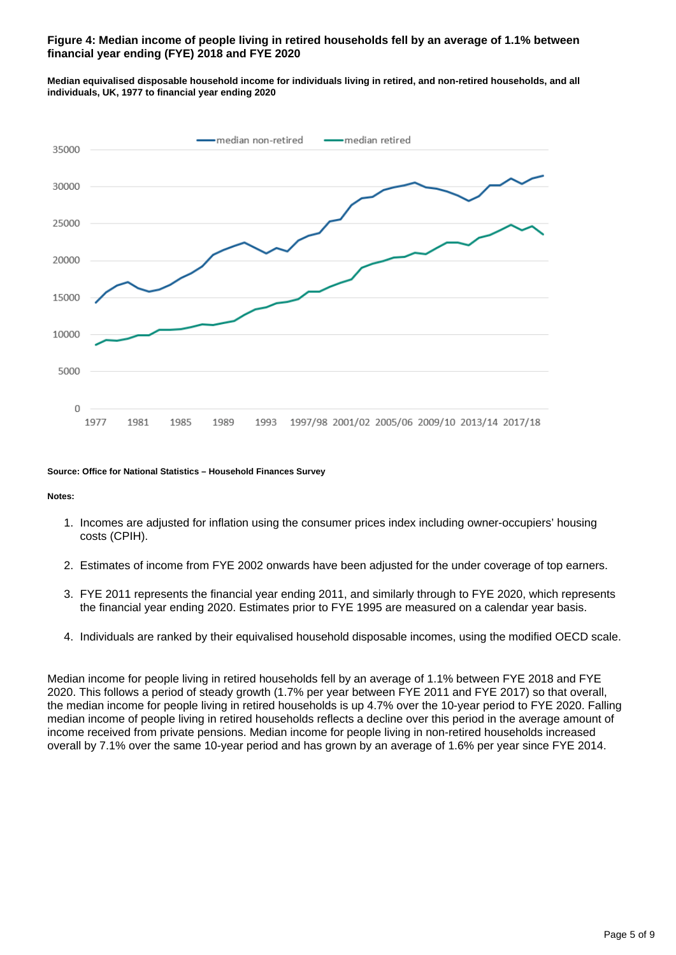#### **Figure 4: Median income of people living in retired households fell by an average of 1.1% between financial year ending (FYE) 2018 and FYE 2020**

**Median equivalised disposable household income for individuals living in retired, and non-retired households, and all individuals, UK, 1977 to financial year ending 2020**



#### **Source: Office for National Statistics – Household Finances Survey**

**Notes:**

- 1. Incomes are adjusted for inflation using the consumer prices index including owner-occupiers' housing costs (CPIH).
- 2. Estimates of income from FYE 2002 onwards have been adjusted for the under coverage of top earners.
- 3. FYE 2011 represents the financial year ending 2011, and similarly through to FYE 2020, which represents the financial year ending 2020. Estimates prior to FYE 1995 are measured on a calendar year basis.
- 4. Individuals are ranked by their equivalised household disposable incomes, using the modified OECD scale.

Median income for people living in retired households fell by an average of 1.1% between FYE 2018 and FYE 2020. This follows a period of steady growth (1.7% per year between FYE 2011 and FYE 2017) so that overall, the median income for people living in retired households is up 4.7% over the 10-year period to FYE 2020. Falling median income of people living in retired households reflects a decline over this period in the average amount of income received from private pensions. Median income for people living in non-retired households increased overall by 7.1% over the same 10-year period and has grown by an average of 1.6% per year since FYE 2014.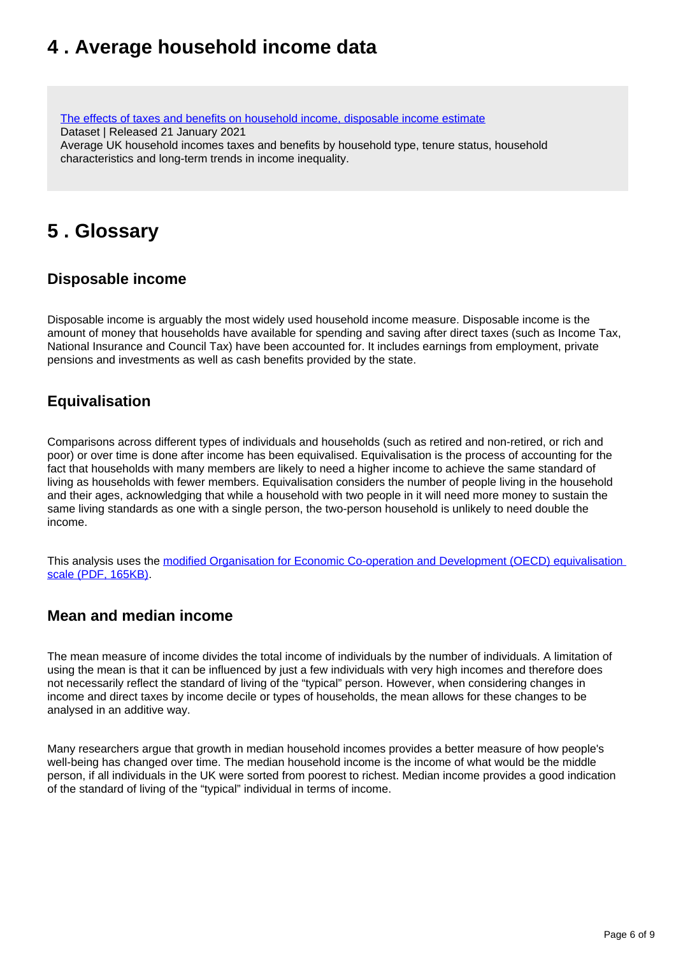## <span id="page-5-0"></span>**4 . Average household income data**

[The effects of taxes and benefits on household income, disposable income estimate](https://www.ons.gov.uk/peoplepopulationandcommunity/personalandhouseholdfinances/incomeandwealth/datasets/householddisposableincomeandinequality) Dataset | Released 21 January 2021 Average UK household incomes taxes and benefits by household type, tenure status, household characteristics and long-term trends in income inequality.

### <span id="page-5-1"></span>**5 . Glossary**

### **Disposable income**

Disposable income is arguably the most widely used household income measure. Disposable income is the amount of money that households have available for spending and saving after direct taxes (such as Income Tax, National Insurance and Council Tax) have been accounted for. It includes earnings from employment, private pensions and investments as well as cash benefits provided by the state.

### **Equivalisation**

Comparisons across different types of individuals and households (such as retired and non-retired, or rich and poor) or over time is done after income has been equivalised. Equivalisation is the process of accounting for the fact that households with many members are likely to need a higher income to achieve the same standard of living as households with fewer members. Equivalisation considers the number of people living in the household and their ages, acknowledging that while a household with two people in it will need more money to sustain the same living standards as one with a single person, the two-person household is unlikely to need double the income.

This analysis uses the modified Organisation for Economic Co-operation and Development (OECD) equivalisation [scale \(PDF, 165KB\)](http://webarchive.nationalarchives.gov.uk/20160105160709/http:/www.ons.gov.uk/ons/rel/elmr/economic-and-labour-market-review/no--1--january-2010/using-the-oecd-equivalence-scale-in-taxes-and-benefits-analysis.pdf).

### **Mean and median income**

The mean measure of income divides the total income of individuals by the number of individuals. A limitation of using the mean is that it can be influenced by just a few individuals with very high incomes and therefore does not necessarily reflect the standard of living of the "typical" person. However, when considering changes in income and direct taxes by income decile or types of households, the mean allows for these changes to be analysed in an additive way.

Many researchers argue that growth in median household incomes provides a better measure of how people's well-being has changed over time. The median household income is the income of what would be the middle person, if all individuals in the UK were sorted from poorest to richest. Median income provides a good indication of the standard of living of the "typical" individual in terms of income.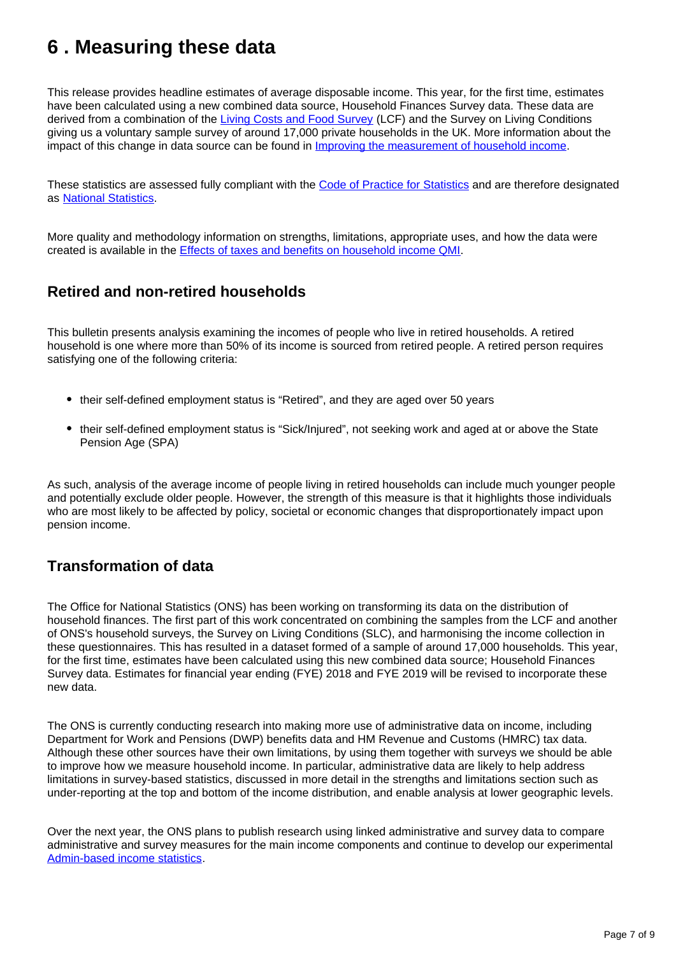## <span id="page-6-0"></span>**6 . Measuring these data**

This release provides headline estimates of average disposable income. This year, for the first time, estimates have been calculated using a new combined data source, Household Finances Survey data. These data are derived from a combination of the [Living Costs and Food Survey](https://www.ons.gov.uk/peoplepopulationandcommunity/personalandhouseholdfinances/incomeandwealth/methodologies/livingcostsandfoodsurvey) (LCF) and the Survey on Living Conditions giving us a voluntary sample survey of around 17,000 private households in the UK. More information about the impact of this change in data source can be found in [Improving the measurement of household income](https://www.ons.gov.uk/peoplepopulationandcommunity/personalandhouseholdfinances/incomeandwealth/methodologies/improvingthemeasurementofhouseholdincome).

These statistics are assessed fully compliant with the [Code of Practice for Statistics](https://code.statisticsauthority.gov.uk/) and are therefore designated as [National Statistics.](https://uksa.statisticsauthority.gov.uk/list-of-national-statistics/)

More quality and methodology information on strengths, limitations, appropriate uses, and how the data were created is available in the [Effects of taxes and benefits on household income QMI.](https://www.ons.gov.uk/peoplepopulationandcommunity/personalandhouseholdfinances/incomeandwealth/methodologies/theeffectsoftaxesandbenefitsonukhouseholdincome)

### **Retired and non-retired households**

This bulletin presents analysis examining the incomes of people who live in retired households. A retired household is one where more than 50% of its income is sourced from retired people. A retired person requires satisfying one of the following criteria:

- their self-defined employment status is "Retired", and they are aged over 50 years
- their self-defined employment status is "Sick/Injured", not seeking work and aged at or above the State Pension Age (SPA)

As such, analysis of the average income of people living in retired households can include much younger people and potentially exclude older people. However, the strength of this measure is that it highlights those individuals who are most likely to be affected by policy, societal or economic changes that disproportionately impact upon pension income.

### **Transformation of data**

The Office for National Statistics (ONS) has been working on transforming its data on the distribution of household finances. The first part of this work concentrated on combining the samples from the LCF and another of ONS's household surveys, the Survey on Living Conditions (SLC), and harmonising the income collection in these questionnaires. This has resulted in a dataset formed of a sample of around 17,000 households. This year, for the first time, estimates have been calculated using this new combined data source; Household Finances Survey data. Estimates for financial year ending (FYE) 2018 and FYE 2019 will be revised to incorporate these new data.

The ONS is currently conducting research into making more use of administrative data on income, including Department for Work and Pensions (DWP) benefits data and HM Revenue and Customs (HMRC) tax data. Although these other sources have their own limitations, by using them together with surveys we should be able to improve how we measure household income. In particular, administrative data are likely to help address limitations in survey-based statistics, discussed in more detail in the strengths and limitations section such as under-reporting at the top and bottom of the income distribution, and enable analysis at lower geographic levels.

Over the next year, the ONS plans to publish research using linked administrative and survey data to compare administrative and survey measures for the main income components and continue to develop our experimental [Admin-based income statistics](https://www.ons.gov.uk/census/censustransformationprogramme/administrativedatacensusproject/administrativedatacensusresearchoutputs/populationcharacteristics/adminbasedincomestatisticsenglandandwalestaxyearending2016).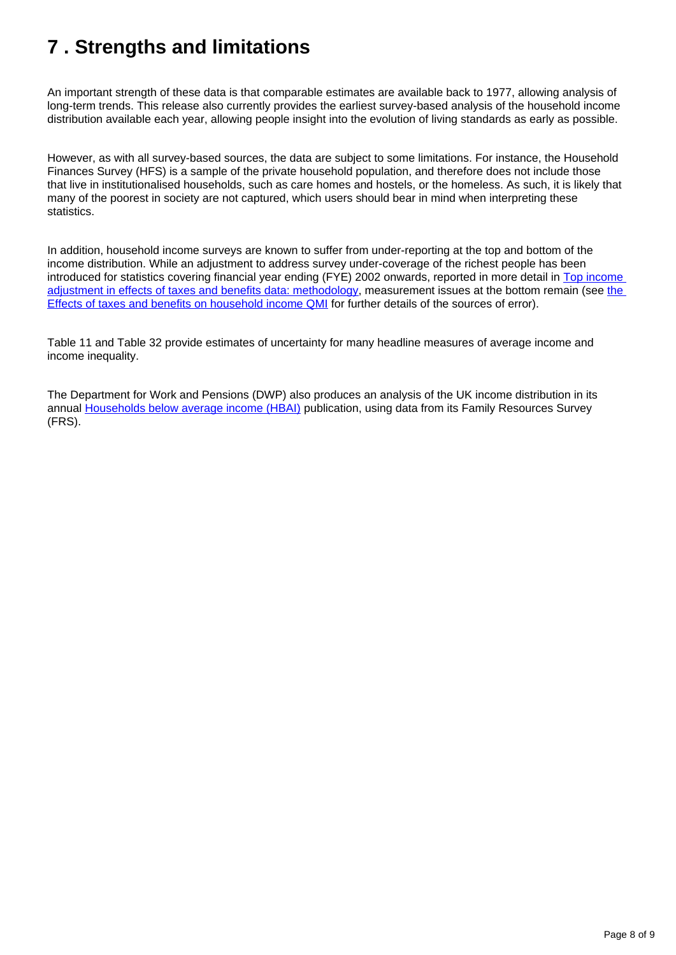## <span id="page-7-0"></span>**7 . Strengths and limitations**

An important strength of these data is that comparable estimates are available back to 1977, allowing analysis of long-term trends. This release also currently provides the earliest survey-based analysis of the household income distribution available each year, allowing people insight into the evolution of living standards as early as possible.

However, as with all survey-based sources, the data are subject to some limitations. For instance, the Household Finances Survey (HFS) is a sample of the private household population, and therefore does not include those that live in institutionalised households, such as care homes and hostels, or the homeless. As such, it is likely that many of the poorest in society are not captured, which users should bear in mind when interpreting these statistics.

In addition, household income surveys are known to suffer from under-reporting at the top and bottom of the income distribution. While an adjustment to address survey under-coverage of the richest people has been introduced for statistics covering financial year ending (FYE) 2002 onwards, reported in more detail in Top income [adjustment in effects of taxes and benefits data: methodology,](https://www.ons.gov.uk/economy/nationalaccounts/uksectoraccounts/compendium/economicreview/february2020/topincomeadjustmentineffectsoftaxesandbenefitsdatamethodology) measurement issues at [the](https://www.ons.gov.uk/peoplepopulationandcommunity/personalandhouseholdfinances/incomeandwealth/qmis/theeffectsoftaxesandbenefitsonhouseholdincomeqmi) bottom remain (see the [Effects of taxes and benefits on household income QMI](https://www.ons.gov.uk/peoplepopulationandcommunity/personalandhouseholdfinances/incomeandwealth/qmis/theeffectsoftaxesandbenefitsonhouseholdincomeqmi) for further details of the sources of error).

Table 11 and Table 32 provide estimates of uncertainty for many headline measures of average income and income inequality.

The Department for Work and Pensions (DWP) also produces an analysis of the UK income distribution in its annual [Households below average income \(HBAI\)](https://www.gov.uk/government/collections/households-below-average-income-hbai--2) publication, using data from its Family Resources Survey (FRS).